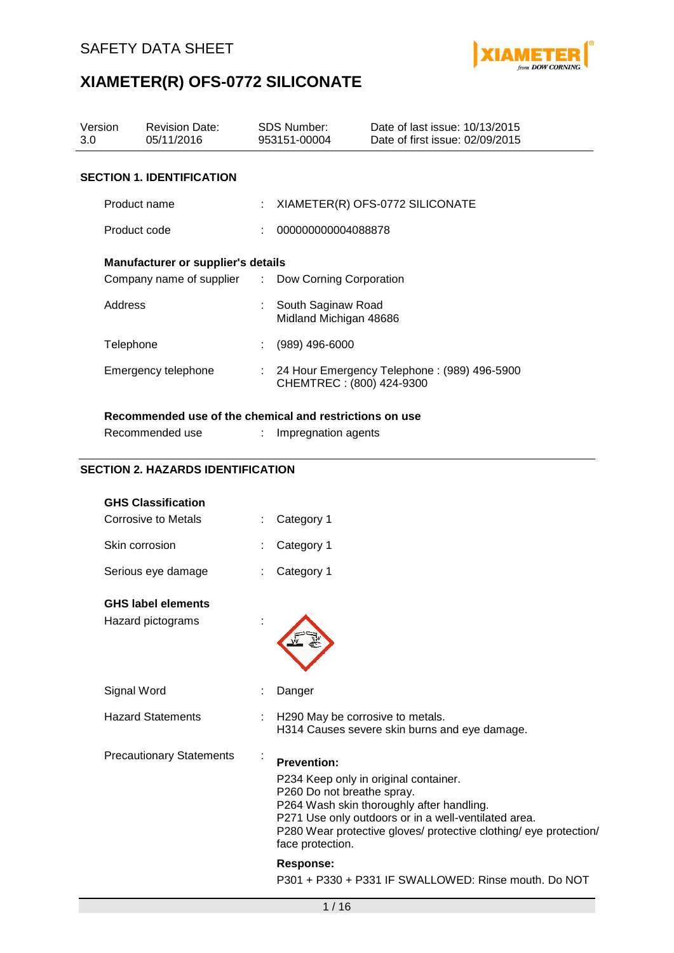

| Version<br>3.0      |                | <b>Revision Date:</b><br>05/11/2016                     |                          | <b>SDS Number:</b><br>953151-00004           | Date of last issue: 10/13/2015<br>Date of first issue: 02/09/2015 |
|---------------------|----------------|---------------------------------------------------------|--------------------------|----------------------------------------------|-------------------------------------------------------------------|
|                     |                | <b>SECTION 1. IDENTIFICATION</b>                        |                          |                                              |                                                                   |
|                     | Product name   |                                                         |                          |                                              | XIAMETER(R) OFS-0772 SILICONATE                                   |
|                     | Product code   |                                                         |                          | 000000000004088878                           |                                                                   |
|                     |                | Manufacturer or supplier's details                      |                          |                                              |                                                                   |
|                     |                | Company name of supplier                                | ÷                        | Dow Corning Corporation                      |                                                                   |
|                     | <b>Address</b> |                                                         |                          | South Saginaw Road<br>Midland Michigan 48686 |                                                                   |
|                     | Telephone      |                                                         |                          | (989) 496-6000                               |                                                                   |
| Emergency telephone |                | $\mathcal{L}^{\mathcal{L}}$                             | CHEMTREC: (800) 424-9300 | 24 Hour Emergency Telephone: (989) 496-5900  |                                                                   |
|                     |                | Recommended use of the chemical and restrictions on use |                          |                                              |                                                                   |
|                     |                | Recommended use                                         |                          | Impregnation agents                          |                                                                   |
|                     |                | <b>SECTION 2. HAZARDS IDENTIFICATION</b>                |                          |                                              |                                                                   |
|                     |                | <b>GHS Classification</b>                               |                          |                                              |                                                                   |
|                     |                | <b>Corrosive to Metals</b>                              |                          | Category 1                                   |                                                                   |
|                     | Skin corrosion |                                                         |                          | Category 1                                   |                                                                   |
|                     |                | Serious eye damage                                      |                          | Category 1                                   |                                                                   |
|                     |                | <b>GHS label elements</b>                               |                          |                                              |                                                                   |

Hazard pictograms :

Signal Word : Danger Hazard Statements : H290 May be corrosive to metals. H314 Causes severe skin burns and eye damage. Precautionary Statements : **Prevention:**  P234 Keep only in original container. P260 Do not breathe spray. P264 Wash skin thoroughly after handling. P271 Use only outdoors or in a well-ventilated area. P280 Wear protective gloves/ protective clothing/ eye protection/ face protection. **Response:** 

P301 + P330 + P331 IF SWALLOWED: Rinse mouth. Do NOT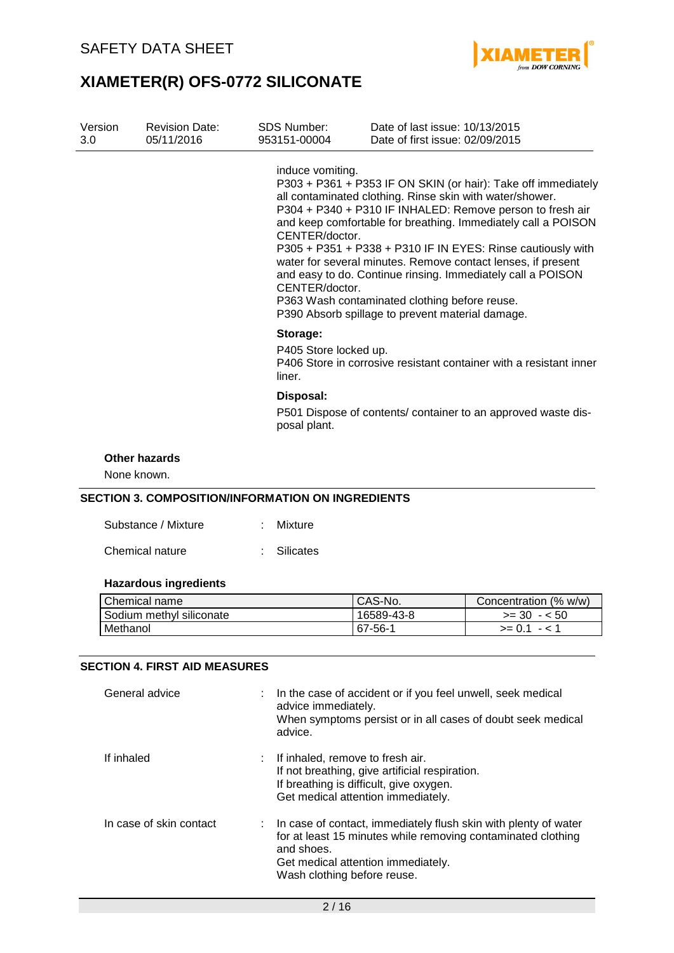

| Version<br>3.0 | <b>Revision Date:</b><br>05/11/2016 | <b>SDS Number:</b><br>953151-00004                                                                                                                                                                                                                                                                                                                                                                                                                                                                                                                                                                                 | Date of last issue: 10/13/2015<br>Date of first issue: 02/09/2015  |
|----------------|-------------------------------------|--------------------------------------------------------------------------------------------------------------------------------------------------------------------------------------------------------------------------------------------------------------------------------------------------------------------------------------------------------------------------------------------------------------------------------------------------------------------------------------------------------------------------------------------------------------------------------------------------------------------|--------------------------------------------------------------------|
|                |                                     | induce vomiting.<br>P303 + P361 + P353 IF ON SKIN (or hair): Take off immediately<br>all contaminated clothing. Rinse skin with water/shower.<br>P304 + P340 + P310 IF INHALED: Remove person to fresh air<br>and keep comfortable for breathing. Immediately call a POISON<br>CENTER/doctor.<br>P305 + P351 + P338 + P310 IF IN EYES: Rinse cautiously with<br>water for several minutes. Remove contact lenses, if present<br>and easy to do. Continue rinsing. Immediately call a POISON<br>CENTER/doctor.<br>P363 Wash contaminated clothing before reuse.<br>P390 Absorb spillage to prevent material damage. |                                                                    |
|                |                                     | Storage:<br>P405 Store locked up.<br>liner.                                                                                                                                                                                                                                                                                                                                                                                                                                                                                                                                                                        | P406 Store in corrosive resistant container with a resistant inner |
|                |                                     | Disposal:<br>posal plant.                                                                                                                                                                                                                                                                                                                                                                                                                                                                                                                                                                                          | P501 Dispose of contents/ container to an approved waste dis-      |
|                | <b>Other hazards</b>                |                                                                                                                                                                                                                                                                                                                                                                                                                                                                                                                                                                                                                    |                                                                    |

None known.

### **SECTION 3. COMPOSITION/INFORMATION ON INGREDIENTS**

| Substance / Mixture | : Mixture   |
|---------------------|-------------|
| Chemical nature     | : Silicates |

### **Hazardous ingredients**

| Chemical name            | <sup>I</sup> CAS-No. | Concentration (% w/w) |
|--------------------------|----------------------|-----------------------|
| Sodium methyl siliconate | 16589-43-8           | $>= 30 - 50$          |
| Methanol                 | $167 - 56 - 1$       | $>= 0.1 - 1.1$        |

### **SECTION 4. FIRST AID MEASURES**

| General advice          | : In the case of accident or if you feel unwell, seek medical<br>advice immediately.<br>When symptoms persist or in all cases of doubt seek medical<br>advice.                                                       |
|-------------------------|----------------------------------------------------------------------------------------------------------------------------------------------------------------------------------------------------------------------|
| If inhaled              | $:$ If inhaled, remove to fresh air.<br>If not breathing, give artificial respiration.<br>If breathing is difficult, give oxygen.<br>Get medical attention immediately.                                              |
| In case of skin contact | : In case of contact, immediately flush skin with plenty of water<br>for at least 15 minutes while removing contaminated clothing<br>and shoes.<br>Get medical attention immediately.<br>Wash clothing before reuse. |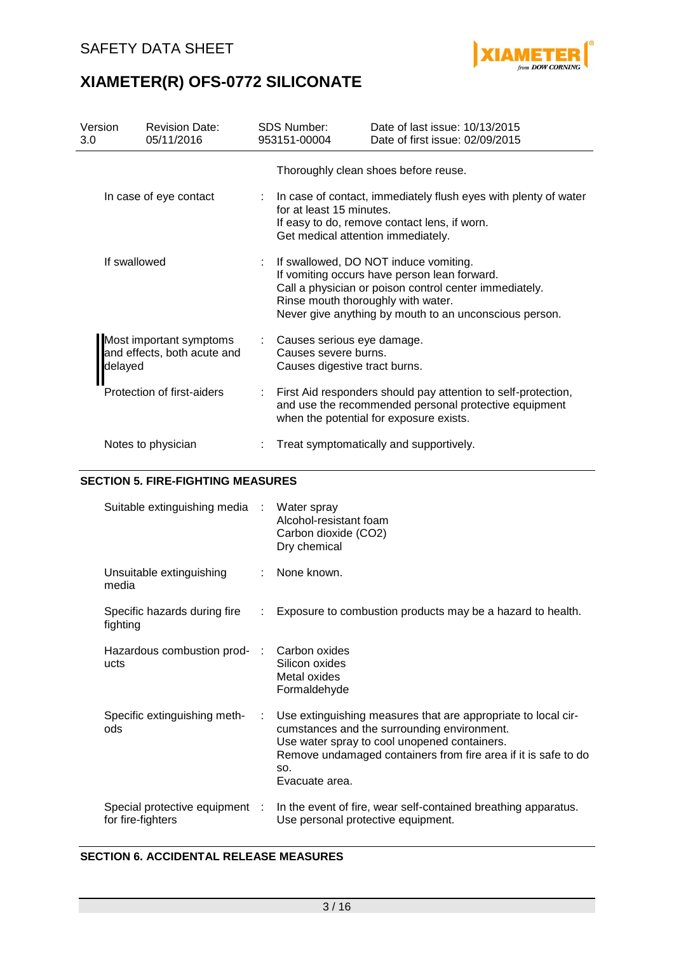

| Version<br>3.0         | <b>Revision Date:</b><br>05/11/2016                    | <b>SDS Number:</b><br>953151-00004                                                                                                                                                  | Date of last issue: 10/13/2015<br>Date of first issue: 02/09/2015                                                                                                                                         |  |  |
|------------------------|--------------------------------------------------------|-------------------------------------------------------------------------------------------------------------------------------------------------------------------------------------|-----------------------------------------------------------------------------------------------------------------------------------------------------------------------------------------------------------|--|--|
|                        |                                                        |                                                                                                                                                                                     | Thoroughly clean shoes before reuse.                                                                                                                                                                      |  |  |
| In case of eye contact |                                                        | : In case of contact, immediately flush eyes with plenty of water<br>for at least 15 minutes.<br>If easy to do, remove contact lens, if worn.<br>Get medical attention immediately. |                                                                                                                                                                                                           |  |  |
| If swallowed           |                                                        | Rinse mouth thoroughly with water.                                                                                                                                                  | If swallowed, DO NOT induce vomiting.<br>If vomiting occurs have person lean forward.<br>Call a physician or poison control center immediately.<br>Never give anything by mouth to an unconscious person. |  |  |
| delayed                | Most important symptoms<br>and effects, both acute and | : Causes serious eye damage.<br>Causes severe burns.<br>Causes digestive tract burns.                                                                                               |                                                                                                                                                                                                           |  |  |
|                        | Protection of first-aiders                             |                                                                                                                                                                                     | First Aid responders should pay attention to self-protection,<br>and use the recommended personal protective equipment<br>when the potential for exposure exists.                                         |  |  |
|                        | Notes to physician                                     |                                                                                                                                                                                     | Treat symptomatically and supportively.                                                                                                                                                                   |  |  |

### **SECTION 5. FIRE-FIGHTING MEASURES**

| Suitable extinguishing media                      | $\mathcal{L}_{\mathcal{A}}$ | Water spray<br>Alcohol-resistant foam<br>Carbon dioxide (CO2)<br>Dry chemical                                                                                                                                                                           |
|---------------------------------------------------|-----------------------------|---------------------------------------------------------------------------------------------------------------------------------------------------------------------------------------------------------------------------------------------------------|
| Unsuitable extinguishing<br>media                 |                             | None known.                                                                                                                                                                                                                                             |
| Specific hazards during fire<br>fighting          | ÷.                          | Exposure to combustion products may be a hazard to health.                                                                                                                                                                                              |
| Hazardous combustion prod-<br>ucts                | $\sim 10^6$                 | Carbon oxides<br>Silicon oxides<br>Metal oxides<br>Formaldehyde                                                                                                                                                                                         |
| Specific extinguishing meth-<br>ods               | ÷.                          | Use extinguishing measures that are appropriate to local cir-<br>cumstances and the surrounding environment.<br>Use water spray to cool unopened containers.<br>Remove undamaged containers from fire area if it is safe to do<br>SO.<br>Evacuate area. |
| Special protective equipment<br>for fire-fighters | - 11                        | In the event of fire, wear self-contained breathing apparatus.<br>Use personal protective equipment.                                                                                                                                                    |

### **SECTION 6. ACCIDENTAL RELEASE MEASURES**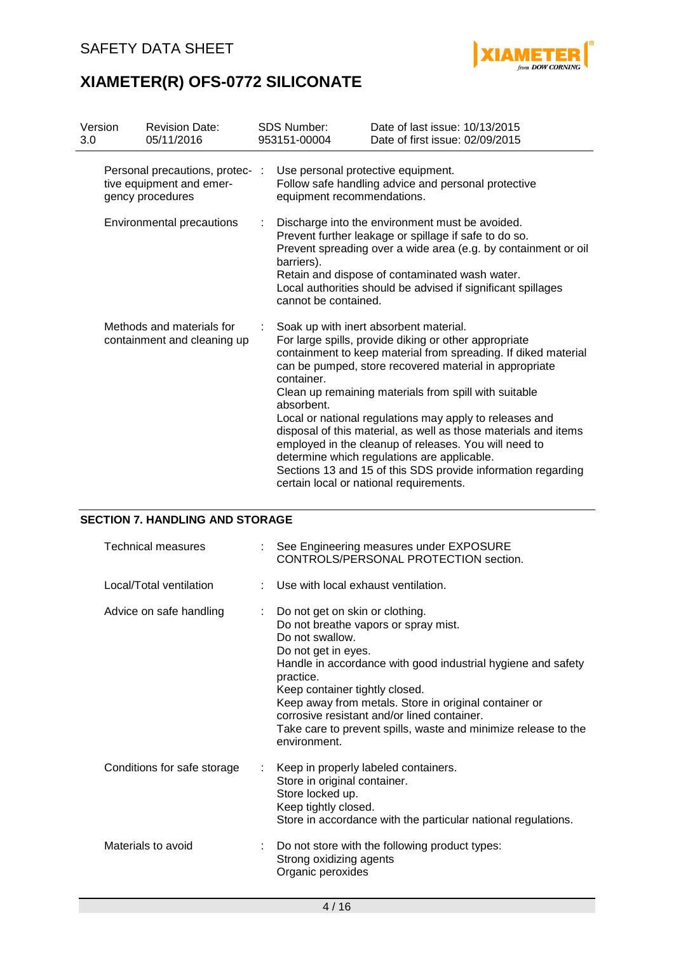

| Version<br>3.0            |  | <b>Revision Date:</b><br>05/11/2016                                                                                                                                                                                                                                                                                                | <b>SDS Number:</b><br>953151-00004 | Date of last issue: 10/13/2015<br>Date of first issue: 02/09/2015                                                                                                                                                                                                                                                                                                                                                                                                                                                                                                                                                                     |
|---------------------------|--|------------------------------------------------------------------------------------------------------------------------------------------------------------------------------------------------------------------------------------------------------------------------------------------------------------------------------------|------------------------------------|---------------------------------------------------------------------------------------------------------------------------------------------------------------------------------------------------------------------------------------------------------------------------------------------------------------------------------------------------------------------------------------------------------------------------------------------------------------------------------------------------------------------------------------------------------------------------------------------------------------------------------------|
|                           |  | Personal precautions, protec-<br>tive equipment and emer-<br>gency procedures                                                                                                                                                                                                                                                      | equipment recommendations.         | Use personal protective equipment.<br>Follow safe handling advice and personal protective                                                                                                                                                                                                                                                                                                                                                                                                                                                                                                                                             |
| Environmental precautions |  | Discharge into the environment must be avoided.<br>Prevent further leakage or spillage if safe to do so.<br>Prevent spreading over a wide area (e.g. by containment or oil<br>barriers).<br>Retain and dispose of contaminated wash water.<br>Local authorities should be advised if significant spillages<br>cannot be contained. |                                    |                                                                                                                                                                                                                                                                                                                                                                                                                                                                                                                                                                                                                                       |
|                           |  | Methods and materials for<br>containment and cleaning up                                                                                                                                                                                                                                                                           | container.<br>absorbent.           | Soak up with inert absorbent material.<br>For large spills, provide diking or other appropriate<br>containment to keep material from spreading. If diked material<br>can be pumped, store recovered material in appropriate<br>Clean up remaining materials from spill with suitable<br>Local or national regulations may apply to releases and<br>disposal of this material, as well as those materials and items<br>employed in the cleanup of releases. You will need to<br>determine which regulations are applicable.<br>Sections 13 and 15 of this SDS provide information regarding<br>certain local or national requirements. |

### **SECTION 7. HANDLING AND STORAGE**

| <b>Technical measures</b>   |    | : See Engineering measures under EXPOSURE<br>CONTROLS/PERSONAL PROTECTION section.                                                                                                                                                                                                                                                                                                                                         |
|-----------------------------|----|----------------------------------------------------------------------------------------------------------------------------------------------------------------------------------------------------------------------------------------------------------------------------------------------------------------------------------------------------------------------------------------------------------------------------|
| Local/Total ventilation     |    | Use with local exhaust ventilation.                                                                                                                                                                                                                                                                                                                                                                                        |
| Advice on safe handling     | ÷. | Do not get on skin or clothing.<br>Do not breathe vapors or spray mist.<br>Do not swallow.<br>Do not get in eyes.<br>Handle in accordance with good industrial hygiene and safety<br>practice.<br>Keep container tightly closed.<br>Keep away from metals. Store in original container or<br>corrosive resistant and/or lined container.<br>Take care to prevent spills, waste and minimize release to the<br>environment. |
| Conditions for safe storage | ÷. | Keep in properly labeled containers.<br>Store in original container.<br>Store locked up.<br>Keep tightly closed.<br>Store in accordance with the particular national regulations.                                                                                                                                                                                                                                          |
| Materials to avoid          | ÷. | Do not store with the following product types:<br>Strong oxidizing agents<br>Organic peroxides                                                                                                                                                                                                                                                                                                                             |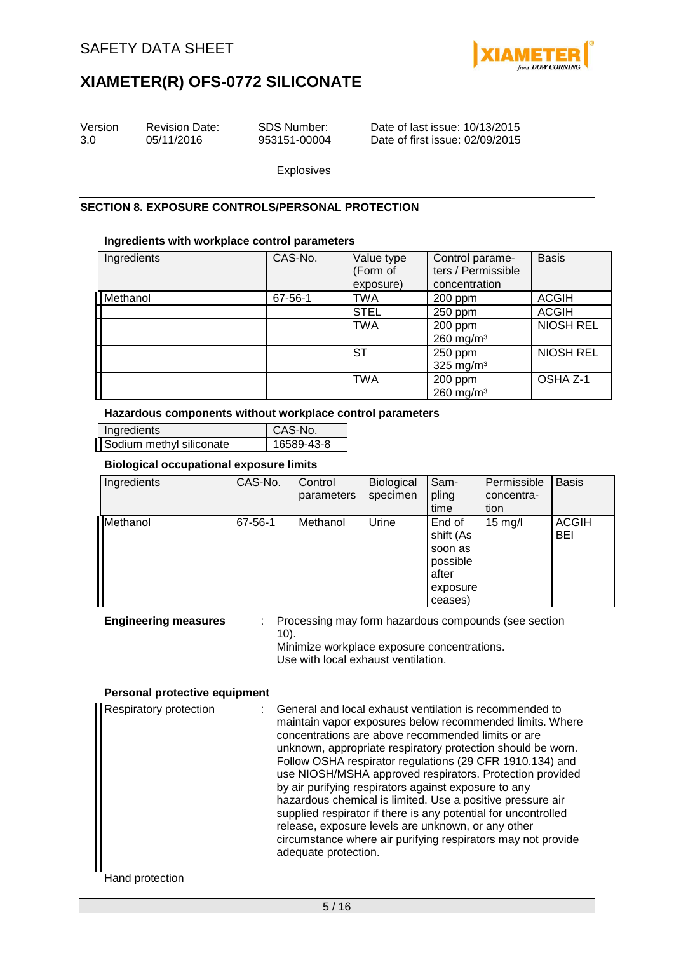

| Version | <b>Revision Date:</b> | SDS Number:  | Date of last issue: 10/13/2015  |  |
|---------|-----------------------|--------------|---------------------------------|--|
| 3.0     | 05/11/2016            | 953151-00004 | Date of first issue: 02/09/2015 |  |
|         |                       |              |                                 |  |

Explosives

### **SECTION 8. EXPOSURE CONTROLS/PERSONAL PROTECTION**

### **Ingredients with workplace control parameters**

| Ingredients | CAS-No. | Value type<br>(Form of<br>exposure) | Control parame-<br>ters / Permissible<br>concentration | <b>Basis</b>     |
|-------------|---------|-------------------------------------|--------------------------------------------------------|------------------|
| Methanol    | 67-56-1 | <b>TWA</b>                          | $200$ ppm                                              | <b>ACGIH</b>     |
|             |         | <b>STEL</b>                         | 250 ppm                                                | <b>ACGIH</b>     |
|             |         | <b>TWA</b>                          | 200 ppm<br>$260$ mg/m <sup>3</sup>                     | <b>NIOSH REL</b> |
|             |         | <b>ST</b>                           | 250 ppm<br>325 mg/m $3$                                | <b>NIOSH REL</b> |
|             |         | <b>TWA</b>                          | 200 ppm<br>$260$ mg/m <sup>3</sup>                     | OSHA Z-1         |

#### **Hazardous components without workplace control parameters**

| Ingredients              | CAS-No.    |
|--------------------------|------------|
| Sodium methyl siliconate | 16589-43-8 |

### **Biological occupational exposure limits**

| Ingredients | CAS-No. | Control<br>parameters | Biological<br>specimen | Sam-<br>pling<br>time                                                      | Permissible<br>concentra-<br>tion | <b>Basis</b>               |
|-------------|---------|-----------------------|------------------------|----------------------------------------------------------------------------|-----------------------------------|----------------------------|
| Methanol    | 67-56-1 | Methanol              | Urine                  | End of<br>shift (As<br>soon as<br>possible<br>after<br>exposure<br>ceases) | $15 \text{ mg/l}$                 | <b>ACGIH</b><br><b>BEI</b> |

**Engineering measures** : Processing may form hazardous compounds (see section 10). Minimize workplace exposure concentrations. Use with local exhaust ventilation.

### **Personal protective equipment**

| Respiratory protection | : General and local exhaust ventilation is recommended to<br>maintain vapor exposures below recommended limits. Where<br>concentrations are above recommended limits or are<br>unknown, appropriate respiratory protection should be worn.<br>Follow OSHA respirator regulations (29 CFR 1910.134) and<br>use NIOSH/MSHA approved respirators. Protection provided<br>by air purifying respirators against exposure to any<br>hazardous chemical is limited. Use a positive pressure air<br>supplied respirator if there is any potential for uncontrolled<br>release, exposure levels are unknown, or any other<br>circumstance where air purifying respirators may not provide<br>adequate protection. |
|------------------------|----------------------------------------------------------------------------------------------------------------------------------------------------------------------------------------------------------------------------------------------------------------------------------------------------------------------------------------------------------------------------------------------------------------------------------------------------------------------------------------------------------------------------------------------------------------------------------------------------------------------------------------------------------------------------------------------------------|
|------------------------|----------------------------------------------------------------------------------------------------------------------------------------------------------------------------------------------------------------------------------------------------------------------------------------------------------------------------------------------------------------------------------------------------------------------------------------------------------------------------------------------------------------------------------------------------------------------------------------------------------------------------------------------------------------------------------------------------------|

Hand protection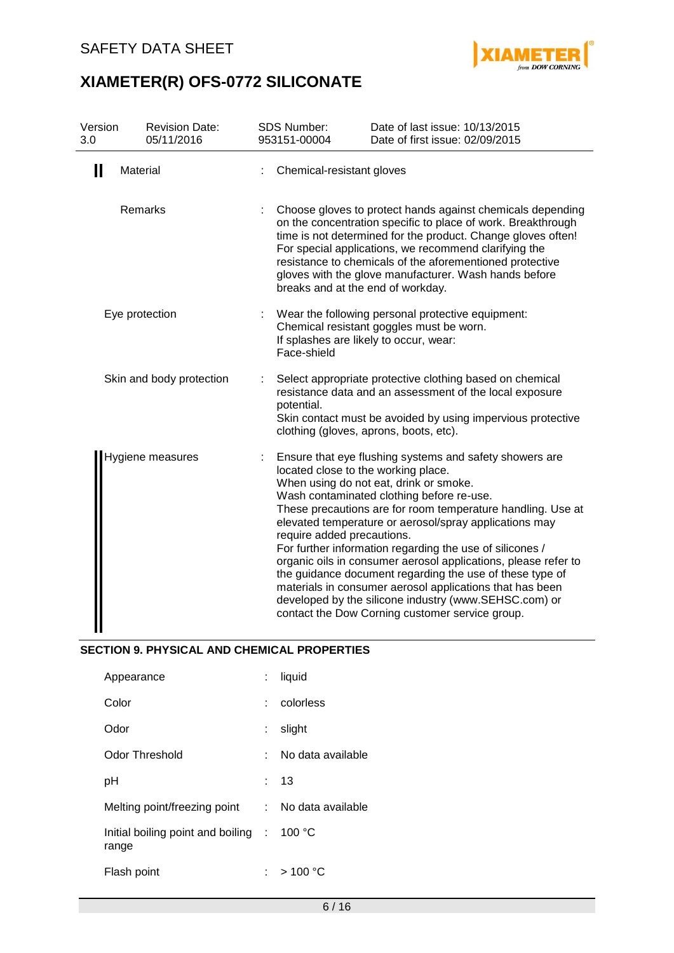

| Version<br>3.0 | <b>Revision Date:</b><br>05/11/2016 | <b>SDS Number:</b><br>953151-00004                                | Date of last issue: 10/13/2015<br>Date of first issue: 02/09/2015                                                                                                                                                                                                                                                                                                                                                                                                                                                                                                                                                                         |
|----------------|-------------------------------------|-------------------------------------------------------------------|-------------------------------------------------------------------------------------------------------------------------------------------------------------------------------------------------------------------------------------------------------------------------------------------------------------------------------------------------------------------------------------------------------------------------------------------------------------------------------------------------------------------------------------------------------------------------------------------------------------------------------------------|
| Ш              | Material                            | Chemical-resistant gloves                                         |                                                                                                                                                                                                                                                                                                                                                                                                                                                                                                                                                                                                                                           |
|                | Remarks                             | breaks and at the end of workday.                                 | Choose gloves to protect hands against chemicals depending<br>on the concentration specific to place of work. Breakthrough<br>time is not determined for the product. Change gloves often!<br>For special applications, we recommend clarifying the<br>resistance to chemicals of the aforementioned protective<br>gloves with the glove manufacturer. Wash hands before                                                                                                                                                                                                                                                                  |
|                | Eye protection                      | If splashes are likely to occur, wear:<br>Face-shield             | Wear the following personal protective equipment:<br>Chemical resistant goggles must be worn.                                                                                                                                                                                                                                                                                                                                                                                                                                                                                                                                             |
|                | Skin and body protection            | potential.                                                        | Select appropriate protective clothing based on chemical<br>resistance data and an assessment of the local exposure<br>Skin contact must be avoided by using impervious protective<br>clothing (gloves, aprons, boots, etc).                                                                                                                                                                                                                                                                                                                                                                                                              |
|                | Hygiene measures                    | located close to the working place.<br>require added precautions. | Ensure that eye flushing systems and safety showers are<br>When using do not eat, drink or smoke.<br>Wash contaminated clothing before re-use.<br>These precautions are for room temperature handling. Use at<br>elevated temperature or aerosol/spray applications may<br>For further information regarding the use of silicones /<br>organic oils in consumer aerosol applications, please refer to<br>the guidance document regarding the use of these type of<br>materials in consumer aerosol applications that has been<br>developed by the silicone industry (www.SEHSC.com) or<br>contact the Dow Corning customer service group. |

### **SECTION 9. PHYSICAL AND CHEMICAL PROPERTIES**

| Appearance                                   |    | liquid            |
|----------------------------------------------|----|-------------------|
| Color                                        |    | colorless         |
| Odor                                         |    | slight            |
| Odor Threshold                               | ٠. | No data available |
| рH                                           |    | 13                |
| Melting point/freezing point :               |    | No data available |
| Initial boiling point and boiling :<br>range |    | 100 $\degree$ C   |
| Flash point                                  |    | >100 °C           |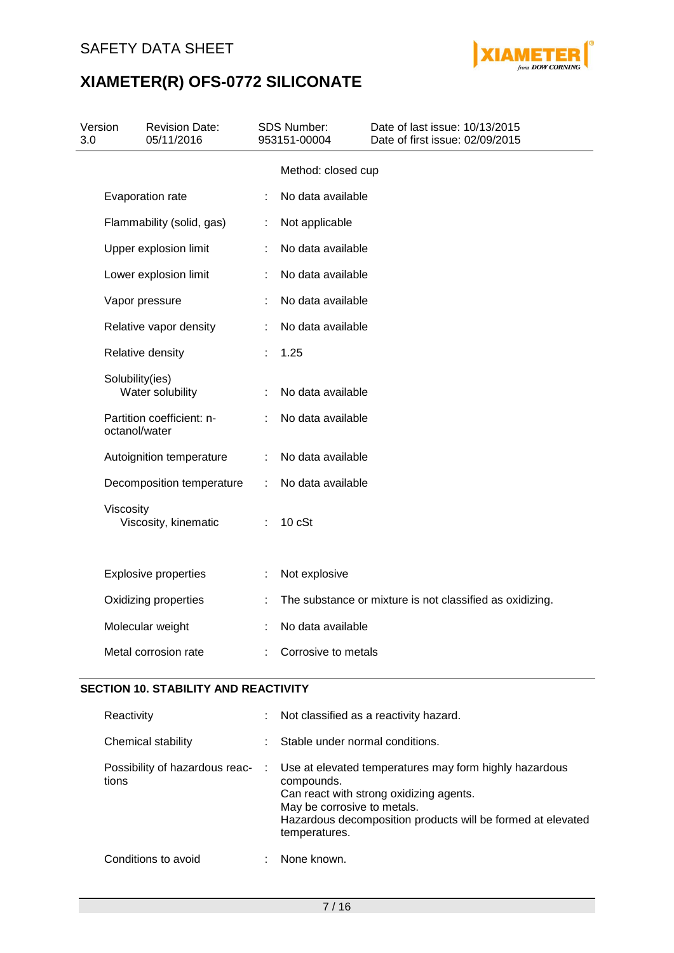

| Version<br>3.0 |                 | <b>Revision Date:</b><br>05/11/2016 |   | <b>SDS Number:</b><br>953151-00004 | Date of last issue: 10/13/2015<br>Date of first issue: 02/09/2015 |
|----------------|-----------------|-------------------------------------|---|------------------------------------|-------------------------------------------------------------------|
|                |                 |                                     |   | Method: closed cup                 |                                                                   |
|                |                 | Evaporation rate                    | ÷ | No data available                  |                                                                   |
|                |                 | Flammability (solid, gas)           |   | Not applicable                     |                                                                   |
|                |                 | Upper explosion limit               |   | No data available                  |                                                                   |
|                |                 | Lower explosion limit               |   | No data available                  |                                                                   |
|                |                 | Vapor pressure                      |   | No data available                  |                                                                   |
|                |                 | Relative vapor density              |   | No data available                  |                                                                   |
|                |                 | Relative density                    |   | 1.25                               |                                                                   |
|                | Solubility(ies) | Water solubility                    |   | No data available                  |                                                                   |
|                | octanol/water   | Partition coefficient: n-           |   | No data available                  |                                                                   |
|                |                 | Autoignition temperature            | ÷ | No data available                  |                                                                   |
|                |                 | Decomposition temperature           | ÷ | No data available                  |                                                                   |
|                | Viscosity       | Viscosity, kinematic                |   | 10 cSt                             |                                                                   |
|                |                 | <b>Explosive properties</b>         |   | Not explosive                      |                                                                   |
|                |                 | Oxidizing properties                |   |                                    | The substance or mixture is not classified as oxidizing.          |
|                |                 | Molecular weight                    |   | No data available                  |                                                                   |
|                |                 | Metal corrosion rate                |   | Corrosive to metals                |                                                                   |

### **SECTION 10. STABILITY AND REACTIVITY**

| Reactivity                              |   | Not classified as a reactivity hazard.                                                                                                                                                                                         |
|-----------------------------------------|---|--------------------------------------------------------------------------------------------------------------------------------------------------------------------------------------------------------------------------------|
| Chemical stability                      |   | Stable under normal conditions.                                                                                                                                                                                                |
| Possibility of hazardous reac-<br>tions | ÷ | Use at elevated temperatures may form highly hazardous<br>compounds.<br>Can react with strong oxidizing agents.<br>May be corrosive to metals.<br>Hazardous decomposition products will be formed at elevated<br>temperatures. |
| Conditions to avoid                     |   | None known.                                                                                                                                                                                                                    |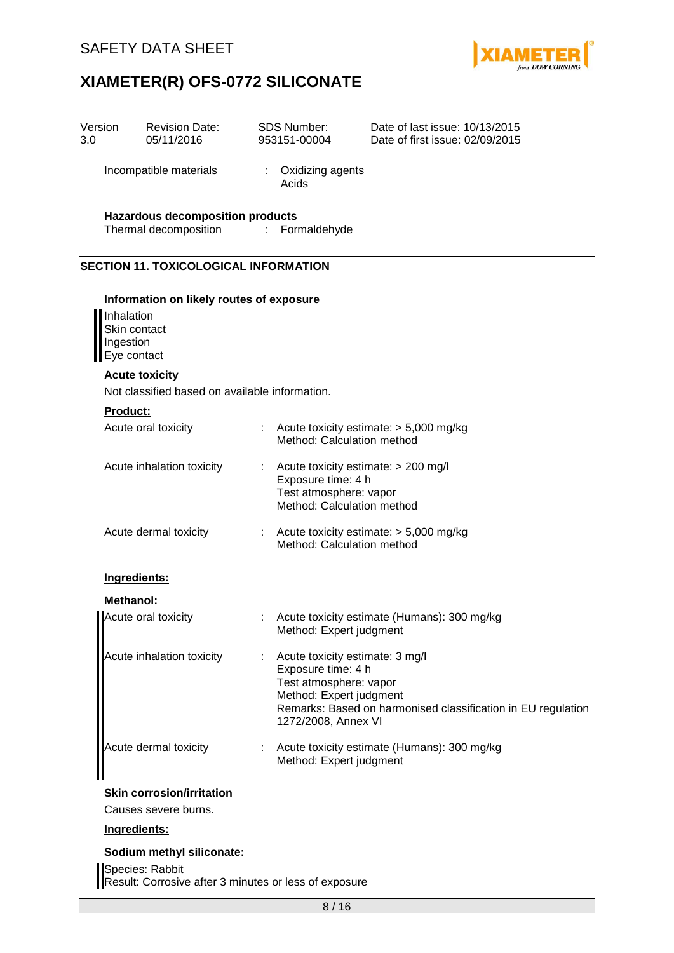

| Version<br>3.0 | <b>Revision Date:</b><br>05/11/2016                                                                |                       | <b>SDS Number:</b><br>953151-00004                                                                                                | Date of last issue: 10/13/2015<br>Date of first issue: 02/09/2015 |
|----------------|----------------------------------------------------------------------------------------------------|-----------------------|-----------------------------------------------------------------------------------------------------------------------------------|-------------------------------------------------------------------|
|                | Incompatible materials                                                                             | $\mathbb{Z}^{\times}$ | Oxidizing agents<br>Acids                                                                                                         |                                                                   |
|                | <b>Hazardous decomposition products</b><br>Thermal decomposition                                   | ÷.                    | Formaldehyde                                                                                                                      |                                                                   |
|                | <b>SECTION 11. TOXICOLOGICAL INFORMATION</b>                                                       |                       |                                                                                                                                   |                                                                   |
|                | Information on likely routes of exposure<br>Inhalation<br>Skin contact<br>Ingestion<br>Eye contact |                       |                                                                                                                                   |                                                                   |
|                | <b>Acute toxicity</b>                                                                              |                       |                                                                                                                                   |                                                                   |
|                | Not classified based on available information.                                                     |                       |                                                                                                                                   |                                                                   |
|                | Product:<br>Acute oral toxicity                                                                    |                       | Method: Calculation method                                                                                                        | : Acute toxicity estimate: $> 5,000$ mg/kg                        |
|                | Acute inhalation toxicity                                                                          | ÷                     | Acute toxicity estimate: > 200 mg/l<br>Exposure time: 4 h<br>Test atmosphere: vapor<br>Method: Calculation method                 |                                                                   |
|                | Acute dermal toxicity                                                                              |                       | Method: Calculation method                                                                                                        | Acute toxicity estimate: $> 5,000$ mg/kg                          |
|                | Ingredients:                                                                                       |                       |                                                                                                                                   |                                                                   |
|                | <b>Methanol:</b>                                                                                   |                       |                                                                                                                                   |                                                                   |
|                | Acute oral toxicity                                                                                |                       | Method: Expert judgment                                                                                                           | Acute toxicity estimate (Humans): 300 mg/kg                       |
|                | Acute inhalation toxicity                                                                          |                       | Acute toxicity estimate: 3 mg/l<br>Exposure time: 4 h<br>Test atmosphere: vapor<br>Method: Expert judgment<br>1272/2008, Annex VI | Remarks: Based on harmonised classification in EU regulation      |
|                | Acute dermal toxicity                                                                              | ÷.                    | Method: Expert judgment                                                                                                           | Acute toxicity estimate (Humans): 300 mg/kg                       |
|                | <b>Skin corrosion/irritation</b><br>Causes severe burns.                                           |                       |                                                                                                                                   |                                                                   |
|                | Ingredients:                                                                                       |                       |                                                                                                                                   |                                                                   |
|                | Sodium methyl siliconate:<br>Species: Rabbit                                                       |                       |                                                                                                                                   |                                                                   |
|                | Result: Corrosive after 3 minutes or less of exposure                                              |                       |                                                                                                                                   |                                                                   |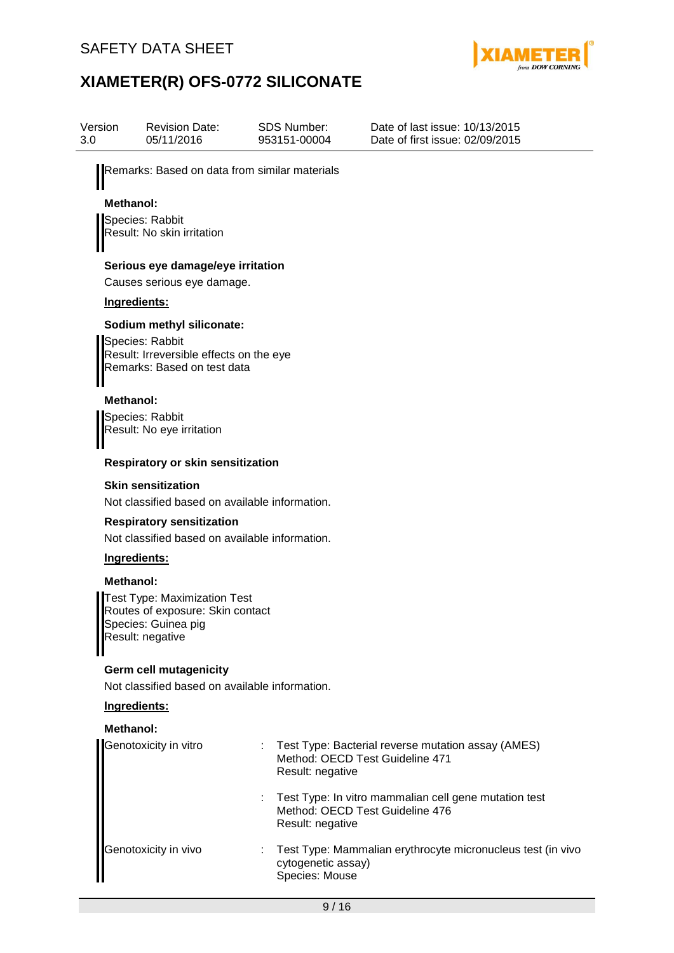

| Version<br>3.0   | <b>Revision Date:</b><br>05/11/2016                                                                                    | SDS Number:<br>953151-00004          | Date of last issue: 10/13/2015<br>Date of first issue: 02/09/2015                        |
|------------------|------------------------------------------------------------------------------------------------------------------------|--------------------------------------|------------------------------------------------------------------------------------------|
|                  | Remarks: Based on data from similar materials                                                                          |                                      |                                                                                          |
| <b>Methanol:</b> |                                                                                                                        |                                      |                                                                                          |
|                  | Species: Rabbit<br>Result: No skin irritation                                                                          |                                      |                                                                                          |
|                  | Serious eye damage/eye irritation                                                                                      |                                      |                                                                                          |
|                  | Causes serious eye damage.                                                                                             |                                      |                                                                                          |
|                  | Ingredients:                                                                                                           |                                      |                                                                                          |
|                  | Sodium methyl siliconate:<br>Species: Rabbit<br>Result: Irreversible effects on the eye<br>Remarks: Based on test data |                                      |                                                                                          |
| <b>Methanol:</b> |                                                                                                                        |                                      |                                                                                          |
|                  | Species: Rabbit<br>Result: No eye irritation                                                                           |                                      |                                                                                          |
|                  | Respiratory or skin sensitization                                                                                      |                                      |                                                                                          |
|                  | <b>Skin sensitization</b><br>Not classified based on available information.                                            |                                      |                                                                                          |
|                  | <b>Respiratory sensitization</b><br>Not classified based on available information.                                     |                                      |                                                                                          |
|                  | Ingredients:                                                                                                           |                                      |                                                                                          |
| <b>Methanol:</b> |                                                                                                                        |                                      |                                                                                          |
|                  | <b>Test Type: Maximization Test</b><br>Routes of exposure: Skin contact<br>Species: Guinea pig<br>Result: negative     |                                      |                                                                                          |
|                  | <b>Germ cell mutagenicity</b>                                                                                          |                                      |                                                                                          |
|                  | Not classified based on available information.                                                                         |                                      |                                                                                          |
|                  | Ingredients:                                                                                                           |                                      |                                                                                          |
| <b>Methanol:</b> |                                                                                                                        |                                      |                                                                                          |
|                  | Genotoxicity in vitro                                                                                                  | Result: negative                     | Test Type: Bacterial reverse mutation assay (AMES)<br>Method: OECD Test Guideline 471    |
|                  |                                                                                                                        | ÷<br>Result: negative                | Test Type: In vitro mammalian cell gene mutation test<br>Method: OECD Test Guideline 476 |
|                  | Genotoxicity in vivo                                                                                                   | cytogenetic assay)<br>Species: Mouse | Test Type: Mammalian erythrocyte micronucleus test (in vivo                              |
|                  |                                                                                                                        |                                      |                                                                                          |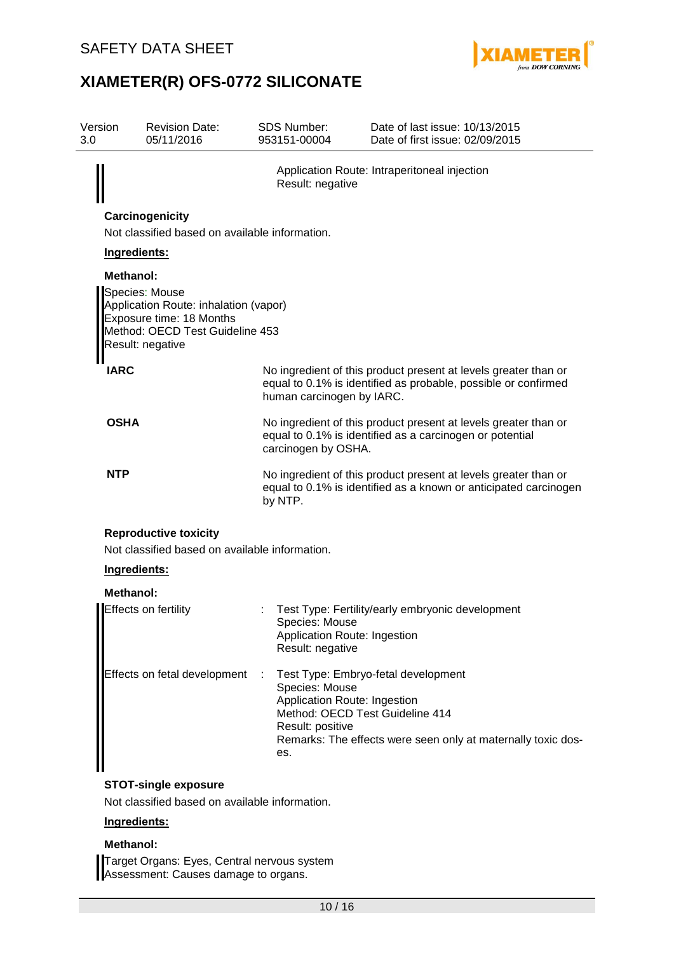

| Version<br>3.0 |                                                | <b>Revision Date:</b><br>05/11/2016                                                                                                        |  | <b>SDS Number:</b><br>953151-00004                                                                           | Date of last issue: 10/13/2015<br>Date of first issue: 02/09/2015                                                                   |  |  |  |  |  |
|----------------|------------------------------------------------|--------------------------------------------------------------------------------------------------------------------------------------------|--|--------------------------------------------------------------------------------------------------------------|-------------------------------------------------------------------------------------------------------------------------------------|--|--|--|--|--|
|                |                                                |                                                                                                                                            |  | Result: negative                                                                                             | Application Route: Intraperitoneal injection                                                                                        |  |  |  |  |  |
|                | Carcinogenicity                                |                                                                                                                                            |  |                                                                                                              |                                                                                                                                     |  |  |  |  |  |
|                | Not classified based on available information. |                                                                                                                                            |  |                                                                                                              |                                                                                                                                     |  |  |  |  |  |
|                | Ingredients:                                   |                                                                                                                                            |  |                                                                                                              |                                                                                                                                     |  |  |  |  |  |
|                | <b>Methanol:</b>                               |                                                                                                                                            |  |                                                                                                              |                                                                                                                                     |  |  |  |  |  |
|                |                                                | Species: Mouse<br>Application Route: inhalation (vapor)<br>Exposure time: 18 Months<br>Method: OECD Test Guideline 453<br>Result: negative |  |                                                                                                              |                                                                                                                                     |  |  |  |  |  |
|                | <b>IARC</b>                                    |                                                                                                                                            |  | human carcinogen by IARC.                                                                                    | No ingredient of this product present at levels greater than or<br>equal to 0.1% is identified as probable, possible or confirmed   |  |  |  |  |  |
|                | <b>OSHA</b>                                    |                                                                                                                                            |  | carcinogen by OSHA.                                                                                          | No ingredient of this product present at levels greater than or<br>equal to 0.1% is identified as a carcinogen or potential         |  |  |  |  |  |
|                | <b>NTP</b>                                     |                                                                                                                                            |  | by NTP.                                                                                                      | No ingredient of this product present at levels greater than or<br>equal to 0.1% is identified as a known or anticipated carcinogen |  |  |  |  |  |
|                |                                                | <b>Reproductive toxicity</b><br>Not classified based on available information.                                                             |  |                                                                                                              |                                                                                                                                     |  |  |  |  |  |
|                | Ingredients:                                   |                                                                                                                                            |  |                                                                                                              |                                                                                                                                     |  |  |  |  |  |
|                | Methanol:                                      |                                                                                                                                            |  |                                                                                                              |                                                                                                                                     |  |  |  |  |  |
|                |                                                | Effects on fertility                                                                                                                       |  | Species: Mouse<br>Application Route: Ingestion<br>Result: negative                                           | Test Type: Fertility/early embryonic development                                                                                    |  |  |  |  |  |
|                |                                                | Effects on fetal development                                                                                                               |  | Species: Mouse<br>Application Route: Ingestion<br>Method: OECD Test Guideline 414<br>Result: positive<br>es. | Test Type: Embryo-fetal development<br>Remarks: The effects were seen only at maternally toxic dos-                                 |  |  |  |  |  |
|                |                                                | <b>STOT-single exposure</b>                                                                                                                |  |                                                                                                              |                                                                                                                                     |  |  |  |  |  |

Not classified based on available information.

### **Ingredients:**

### **Methanol:**

Target Organs: Eyes, Central nervous system Assessment: Causes damage to organs.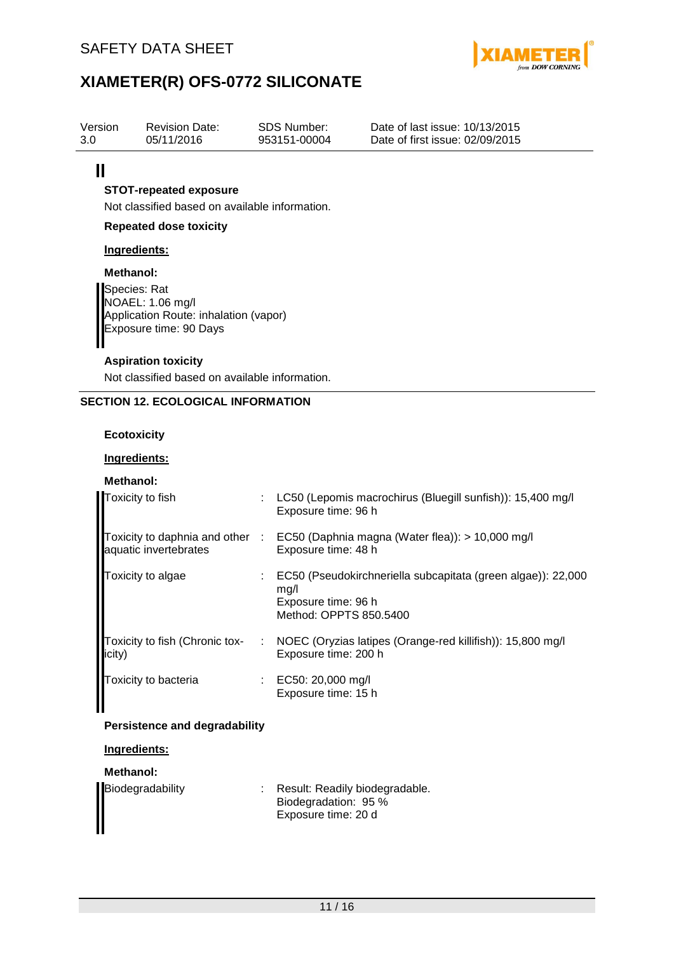

10/13/2015 02/09/2015

## **XIAMETER(R) OFS-0772 SILICONATE**

| Version | <b>Revision Date:</b> | SDS Number:  | Date of last issue:  |
|---------|-----------------------|--------------|----------------------|
| 3.0     | 05/11/2016            | 953151-00004 | Date of first issue: |

### $\mathbf{II}$

### **STOT-repeated exposure**

Not classified based on available information.

### **Repeated dose toxicity**

### **Ingredients:**

### **Methanol:**

Species: Rat NOAEL: 1.06 mg/l Application Route: inhalation (vapor) Exposure time: 90 Days

### **Aspiration toxicity**

Not classified based on available information.

### **SECTION 12. ECOLOGICAL INFORMATION**

### **Ecotoxicity**

### **Ingredients:**

### **Methanol:**

| Toxicity to fish                         |    | LC50 (Lepomis macrochirus (Bluegill sunfish)): 15,400 mg/l<br>Exposure time: 96 h                                     |
|------------------------------------------|----|-----------------------------------------------------------------------------------------------------------------------|
| aquatic invertebrates                    |    | Toxicity to daphnia and other : EC50 (Daphnia magna (Water flea)): > 10,000 mg/l<br>Exposure time: 48 h               |
| Toxicity to algae                        |    | EC50 (Pseudokirchneriella subcapitata (green algae)): 22,000<br>mq/l<br>Exposure time: 96 h<br>Method: OPPTS 850.5400 |
| Toxicity to fish (Chronic tox-<br>icity) | ÷. | NOEC (Oryzias latipes (Orange-red killifish)): 15,800 mg/l<br>Exposure time: 200 h                                    |
| Toxicity to bacteria                     |    | : EC50: 20,000 mg/l<br>Exposure time: 15 h                                                                            |

### **Persistence and degradability**

### **Ingredients:**

### **Methanol:**

|                                                          | : Result: Readily biodegradable. |
|----------------------------------------------------------|----------------------------------|
|                                                          | Biodegradation: 95 %             |
| Biodegradability<br>Biodegradability<br>Biodegradability | Exposure time: 20 d              |
|                                                          |                                  |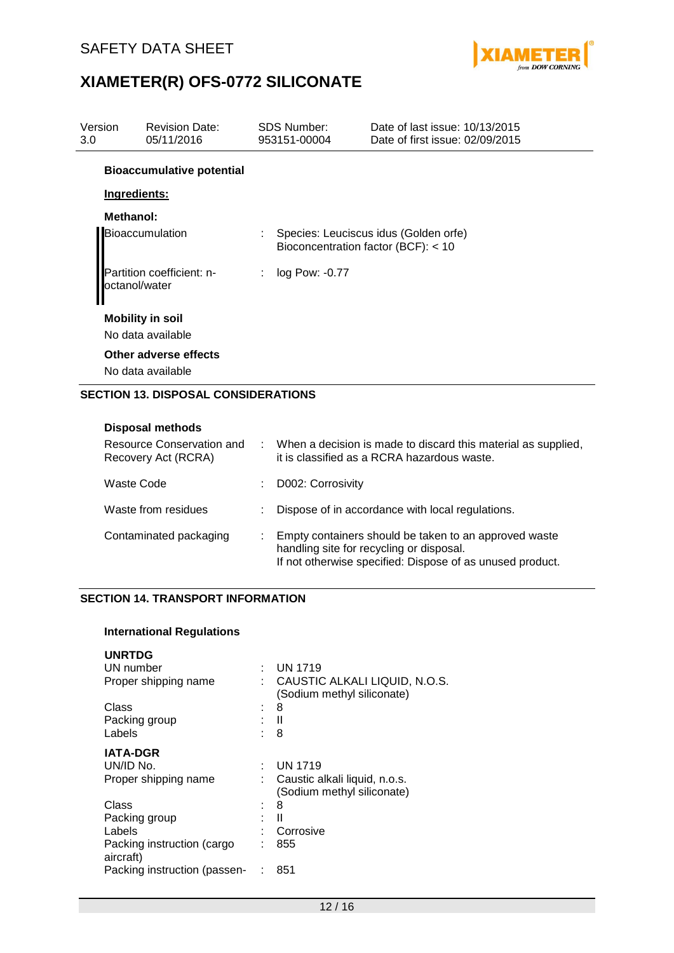

| Version<br>3.0 | <b>Revision Date:</b><br>05/11/2016        |                       | <b>SDS Number:</b><br>953151-00004  | Date of last issue: 10/13/2015<br>Date of first issue: 02/09/2015 |
|----------------|--------------------------------------------|-----------------------|-------------------------------------|-------------------------------------------------------------------|
|                | <b>Bioaccumulative potential</b>           |                       |                                     |                                                                   |
| Ingredients:   |                                            |                       |                                     |                                                                   |
| Methanol:      |                                            |                       |                                     |                                                                   |
|                | Bioaccumulation                            |                       | Bioconcentration factor (BCF): < 10 | Species: Leuciscus idus (Golden orfe)                             |
| octanol/water  | Partition coefficient: n-                  | $\mathbb{Z}^{\times}$ | log Pow: -0.77                      |                                                                   |
|                | <b>Mobility in soil</b>                    |                       |                                     |                                                                   |
|                | No data available                          |                       |                                     |                                                                   |
|                | Other adverse effects                      |                       |                                     |                                                                   |
|                | No data available                          |                       |                                     |                                                                   |
|                | <b>SECTION 13. DISPOSAL CONSIDERATIONS</b> |                       |                                     |                                                                   |
|                | <b>Disposal methods</b>                    |                       |                                     |                                                                   |

| Resource Conservation and<br>Recovery Act (RCRA) | When a decision is made to discard this material as supplied,<br>it is classified as a RCRA hazardous waste.                                                   |
|--------------------------------------------------|----------------------------------------------------------------------------------------------------------------------------------------------------------------|
| Waste Code                                       | D002: Corrosivity                                                                                                                                              |
| Waste from residues                              | Dispose of in accordance with local regulations.                                                                                                               |
| Contaminated packaging                           | Empty containers should be taken to an approved waste<br>handling site for recycling or disposal.<br>If not otherwise specified: Dispose of as unused product. |

### **SECTION 14. TRANSPORT INFORMATION**

#### **International Regulations**

| <b>UNRTDG</b>                           |    |                                                             |
|-----------------------------------------|----|-------------------------------------------------------------|
| UN number                               | ÷  | UN 1719                                                     |
| Proper shipping name                    | t. | CAUSTIC ALKALI LIQUID, N.O.S.<br>(Sodium methyl siliconate) |
| Class                                   |    | 8                                                           |
| Packing group                           |    | Ш                                                           |
| Labels                                  |    | 8                                                           |
| IATA-DGR                                |    |                                                             |
| UN/ID No.                               |    | <b>UN 1719</b>                                              |
| Proper shipping name                    |    | Caustic alkali liquid, n.o.s.                               |
|                                         |    | (Sodium methyl siliconate)                                  |
| Class                                   | ٠  | 8                                                           |
| Packing group                           | ٠  | Ш                                                           |
| Labels                                  |    | Corrosive                                                   |
| Packing instruction (cargo<br>aircraft) |    | 855                                                         |
| Packing instruction (passen-            |    | 851                                                         |
|                                         |    |                                                             |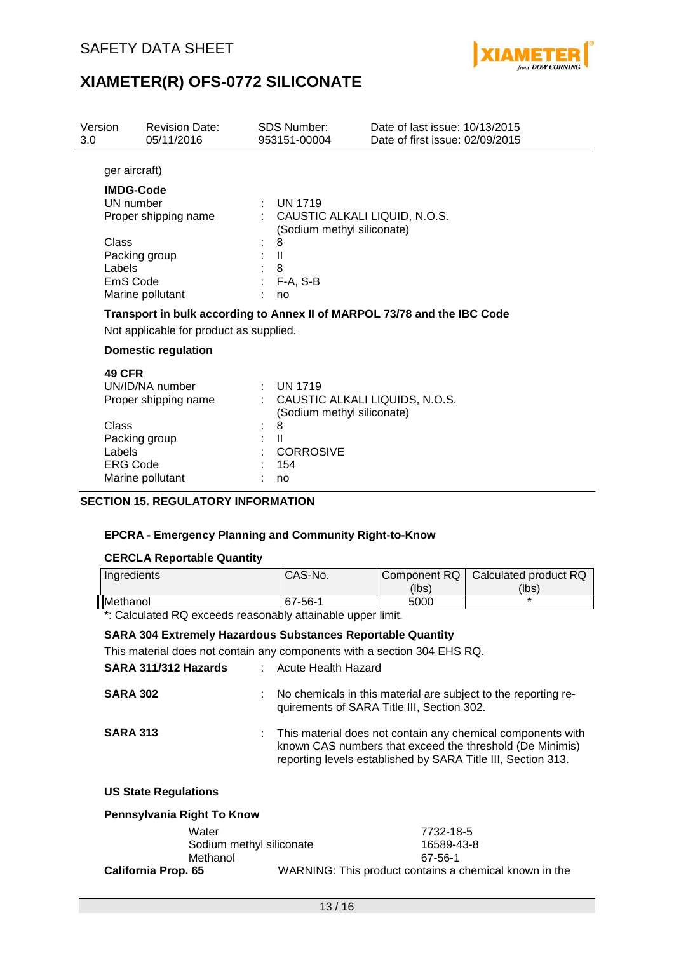

| Version<br>3.0             | <b>Revision Date:</b><br>05/11/2016       | <b>SDS Number:</b><br>953151-00004                                       | Date of last issue: 10/13/2015<br>Date of first issue: 02/09/2015 |                       |
|----------------------------|-------------------------------------------|--------------------------------------------------------------------------|-------------------------------------------------------------------|-----------------------|
|                            | ger aircraft)                             |                                                                          |                                                                   |                       |
|                            | <b>IMDG-Code</b>                          |                                                                          |                                                                   |                       |
|                            | UN number                                 | <b>UN 1719</b>                                                           |                                                                   |                       |
|                            | Proper shipping name                      |                                                                          | CAUSTIC ALKALI LIQUID, N.O.S.                                     |                       |
|                            |                                           | (Sodium methyl siliconate)                                               |                                                                   |                       |
| Class                      |                                           | 8                                                                        |                                                                   |                       |
|                            | Packing group                             | $\mathbf{I}$                                                             |                                                                   |                       |
| Labels                     |                                           | 8                                                                        |                                                                   |                       |
|                            | EmS Code<br>Marine pollutant              | F-A, S-B<br>no                                                           |                                                                   |                       |
|                            |                                           |                                                                          |                                                                   |                       |
|                            |                                           | Transport in bulk according to Annex II of MARPOL 73/78 and the IBC Code |                                                                   |                       |
|                            | Not applicable for product as supplied.   |                                                                          |                                                                   |                       |
| <b>Domestic regulation</b> |                                           |                                                                          |                                                                   |                       |
| <b>49 CFR</b>              |                                           |                                                                          |                                                                   |                       |
|                            | UN/ID/NA number                           | <b>UN 1719</b>                                                           |                                                                   |                       |
|                            | Proper shipping name                      |                                                                          | CAUSTIC ALKALI LIQUIDS, N.O.S.                                    |                       |
|                            |                                           | (Sodium methyl siliconate)                                               |                                                                   |                       |
| Class                      |                                           | 8                                                                        |                                                                   |                       |
| Labels                     | Packing group                             | $\mathbf{H}$<br><b>CORROSIVE</b>                                         |                                                                   |                       |
|                            | <b>ERG Code</b>                           | 154                                                                      |                                                                   |                       |
|                            | Marine pollutant                          | no                                                                       |                                                                   |                       |
|                            |                                           |                                                                          |                                                                   |                       |
|                            | <b>SECTION 15. REGULATORY INFORMATION</b> |                                                                          |                                                                   |                       |
|                            |                                           |                                                                          |                                                                   |                       |
|                            |                                           | <b>EPCRA - Emergency Planning and Community Right-to-Know</b>            |                                                                   |                       |
|                            |                                           |                                                                          |                                                                   |                       |
|                            | <b>CERCLA Reportable Quantity</b>         |                                                                          |                                                                   |                       |
|                            | Ingredients                               | CAS-No.                                                                  | Component RQ                                                      | Calculated product RQ |
|                            |                                           |                                                                          | (lbs)                                                             | (lbs)                 |
| Methanol                   |                                           | 67-56-1                                                                  | 5000                                                              |                       |
|                            |                                           | *: Calculated RQ exceeds reasonably attainable upper limit.              |                                                                   |                       |

### **SARA 304 Extremely Hazardous Substances Reportable Quantity**

This material does not contain any components with a section 304 EHS RQ.

| SARA 311/312 Hazards        | Acute Health Hazard                                                                                                                                                                       |
|-----------------------------|-------------------------------------------------------------------------------------------------------------------------------------------------------------------------------------------|
| <b>SARA 302</b>             | No chemicals in this material are subject to the reporting re-<br>quirements of SARA Title III, Section 302.                                                                              |
| <b>SARA 313</b>             | : This material does not contain any chemical components with<br>known CAS numbers that exceed the threshold (De Minimis)<br>reporting levels established by SARA Title III, Section 313. |
| <b>US State Regulations</b> |                                                                                                                                                                                           |

| Pennsylvania Right To Know |                                                        |  |  |
|----------------------------|--------------------------------------------------------|--|--|
| Water                      | 7732-18-5                                              |  |  |
| Sodium methyl siliconate   | 16589-43-8                                             |  |  |
| Methanol                   | 67-56-1                                                |  |  |
| <b>California Prop. 65</b> | WARNING: This product contains a chemical known in the |  |  |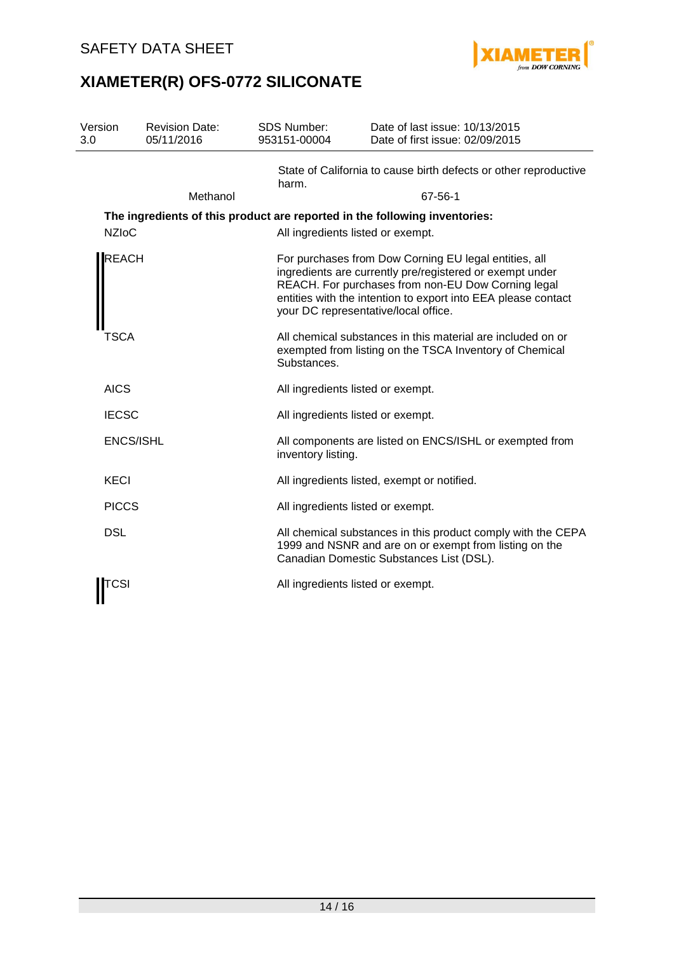

| Version<br>3.0   | <b>Revision Date:</b><br>05/11/2016 | <b>SDS Number:</b><br>953151-00004 | Date of last issue: 10/13/2015<br>Date of first issue: 02/09/2015                                                                                                                                                                                                                |
|------------------|-------------------------------------|------------------------------------|----------------------------------------------------------------------------------------------------------------------------------------------------------------------------------------------------------------------------------------------------------------------------------|
|                  |                                     | harm.                              | State of California to cause birth defects or other reproductive                                                                                                                                                                                                                 |
|                  | Methanol                            |                                    | 67-56-1                                                                                                                                                                                                                                                                          |
|                  |                                     |                                    | The ingredients of this product are reported in the following inventories:                                                                                                                                                                                                       |
| <b>NZIoC</b>     |                                     |                                    | All ingredients listed or exempt.                                                                                                                                                                                                                                                |
| <b>REACH</b>     |                                     |                                    | For purchases from Dow Corning EU legal entities, all<br>ingredients are currently pre/registered or exempt under<br>REACH. For purchases from non-EU Dow Corning legal<br>entities with the intention to export into EEA please contact<br>your DC representative/local office. |
| TSCA             |                                     | Substances.                        | All chemical substances in this material are included on or<br>exempted from listing on the TSCA Inventory of Chemical                                                                                                                                                           |
| <b>AICS</b>      |                                     |                                    | All ingredients listed or exempt.                                                                                                                                                                                                                                                |
| <b>IECSC</b>     |                                     |                                    | All ingredients listed or exempt.                                                                                                                                                                                                                                                |
| <b>ENCS/ISHL</b> |                                     | inventory listing.                 | All components are listed on ENCS/ISHL or exempted from                                                                                                                                                                                                                          |
| <b>KECI</b>      |                                     |                                    | All ingredients listed, exempt or notified.                                                                                                                                                                                                                                      |
| <b>PICCS</b>     |                                     |                                    | All ingredients listed or exempt.                                                                                                                                                                                                                                                |
| <b>DSL</b>       |                                     |                                    | All chemical substances in this product comply with the CEPA<br>1999 and NSNR and are on or exempt from listing on the<br>Canadian Domestic Substances List (DSL).                                                                                                               |
| TCSI             |                                     |                                    | All ingredients listed or exempt.                                                                                                                                                                                                                                                |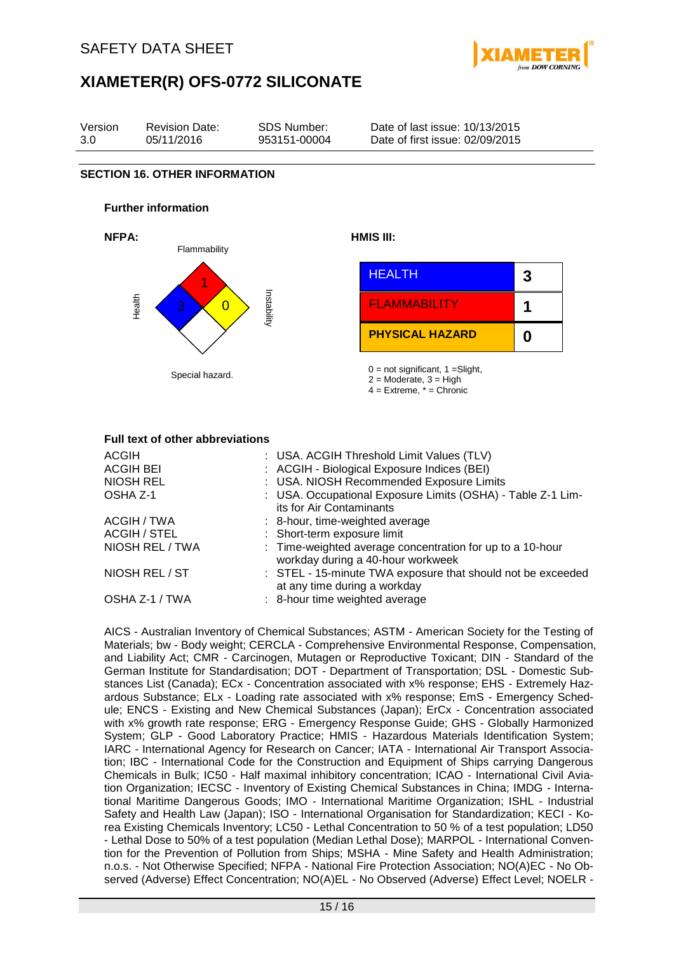



#### **Full text of other abbreviations**

| <b>ACGIH</b><br><b>ACGIH BEI</b><br>NIOSH REL<br>OSHA Z-1 | : USA. ACGIH Threshold Limit Values (TLV)<br>: ACGIH - Biological Exposure Indices (BEI)<br>: USA. NIOSH Recommended Exposure Limits<br>: USA. Occupational Exposure Limits (OSHA) - Table Z-1 Lim-<br>its for Air Contaminants |
|-----------------------------------------------------------|---------------------------------------------------------------------------------------------------------------------------------------------------------------------------------------------------------------------------------|
| ACGIH / TWA<br><b>ACGIH / STEL</b><br>NIOSH REL / TWA     | : 8-hour, time-weighted average<br>: Short-term exposure limit<br>: Time-weighted average concentration for up to a 10-hour                                                                                                     |
| NIOSH REL / ST                                            | workday during a 40-hour workweek<br>: STEL - 15-minute TWA exposure that should not be exceeded<br>at any time during a workday                                                                                                |
| OSHA Z-1 / TWA                                            | : 8-hour time weighted average                                                                                                                                                                                                  |

AICS - Australian Inventory of Chemical Substances; ASTM - American Society for the Testing of Materials; bw - Body weight; CERCLA - Comprehensive Environmental Response, Compensation, and Liability Act; CMR - Carcinogen, Mutagen or Reproductive Toxicant; DIN - Standard of the German Institute for Standardisation; DOT - Department of Transportation; DSL - Domestic Substances List (Canada); ECx - Concentration associated with x% response; EHS - Extremely Hazardous Substance; ELx - Loading rate associated with x% response; EmS - Emergency Schedule; ENCS - Existing and New Chemical Substances (Japan); ErCx - Concentration associated with x% growth rate response; ERG - Emergency Response Guide; GHS - Globally Harmonized System; GLP - Good Laboratory Practice; HMIS - Hazardous Materials Identification System; IARC - International Agency for Research on Cancer; IATA - International Air Transport Association; IBC - International Code for the Construction and Equipment of Ships carrying Dangerous Chemicals in Bulk; IC50 - Half maximal inhibitory concentration; ICAO - International Civil Aviation Organization; IECSC - Inventory of Existing Chemical Substances in China; IMDG - International Maritime Dangerous Goods; IMO - International Maritime Organization; ISHL - Industrial Safety and Health Law (Japan); ISO - International Organisation for Standardization; KECI - Korea Existing Chemicals Inventory; LC50 - Lethal Concentration to 50 % of a test population; LD50 - Lethal Dose to 50% of a test population (Median Lethal Dose); MARPOL - International Convention for the Prevention of Pollution from Ships; MSHA - Mine Safety and Health Administration; n.o.s. - Not Otherwise Specified; NFPA - National Fire Protection Association; NO(A)EC - No Observed (Adverse) Effect Concentration; NO(A)EL - No Observed (Adverse) Effect Level; NOELR -